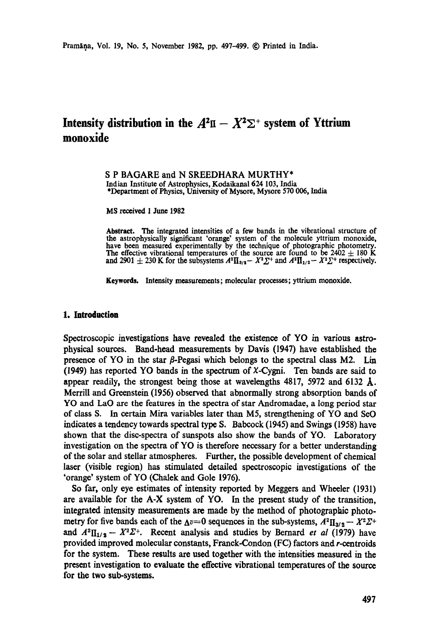# **Intensity distribution in the**  $A^2\Pi - X^2\Sigma$  **is system of Yttrium monoxide**

S P BAGARE and N SREEDHARA MURTHY\* Indian Institute of Astrophysics, Kodaikana1624 103, India \*Department of Physics, University of Mysore, Mysore 570 006, India

MS received 1 June 1982

Abstract. The integrated intensities of a few bands in the vibrational structure of **the** astrophysically significant 'orange' system of the molecule yttrium monoxide, have been measured experimentally by the technique of photographic photometry. The effective vibrational temperatures of the source are found to be 2402  $\pm$  180 K **and 2901**  $\pm$  230 K for the subsystems  $A^2\Pi_{3/2} - X^2\Sigma^+$  and  $A^2\Pi_{1/2} - X^2\Sigma^+$  respectively.

**Keywords.** Intensity measurements; molecular processes; yttrium monoxide.

#### **1. Introduction**

Spectroscopic investigations have revealed the existence of YO in various astrophysical sources. Band-head measurements by Davis (1947) have established the presence of YO in the star  $\beta$ -Pegasi which belongs to the spectral class M2. Lin (1949) has reported YO bands in the spectrum of X-Cygni. Ten bands are said to appear readily, the strongest being those at wavelengths  $4817$ , 5972 and 6132  $\AA$ . Merrill and Greenstein (1956) observed that abnormally strong absorption bands of YO and LaO are the features in the spectra of star Andromadae, a long period star of class S. In certain Mira variables later than M5, strengthening of YO and ScO indicates a tendency towards spectral type S. Babcock (1945) and Swings (1958) have shown that the disc-spectra of sunspots also show the bands of YO. Laboratory investigation on the spectra of YO is therefore necessary for a better understanding of the solar and stellar atmospheres. Further, the possible development of chemical laser (visible region) has stimulated detailed spectroscopic investigations of the 'orange' system of YO (Chalek and Gole 1976).

So far, only eye estimates of intensity reported by Meggers and Wheeler (1931) are available for the A-X system of YO. In the present study of the transition, integrated intensity measurements are made by the method of photographic photometry for five bands each of the  $\Delta v=0$  sequences in the sub-systems,  $A^2\Pi_{3/2} - X^2\Sigma^+$ and  $A^2\Pi_{1/2} - X^2\Sigma^+$ . Recent analysis and studies by Bernard *et al* (1979) have provided improved molecular constants, Franek-Condon (FC) factors and r-eentroids for the system. These results are used together with the intensities measured in the present investigation to evaluate the effective vibrational temperatures of the source for the two sub-systems.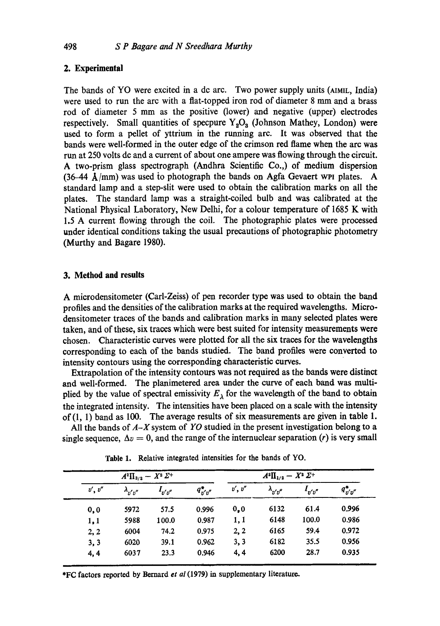### **2. Experimental**

The bands of YO were excited in adc arc. Two power supply units (A1MIL, India) were used to run the arc with a fiat-topped iron rod of diameter 8 mm and a brass rod of diameter 5 mm as the positive (lower) and negative (upper) electrodes respectively. Small quantities of specpure  $Y_2O_3$  (Johnson Mathey, London) were used to form a pellet of yttrium in the running arc. It was observed that the bands were well-formed in the outer edge of the crimson red flame when the arc was run at 250 volts de and a current of about one ampere was flowing through the circuit. A two-prism glass spectrograph (Andhra Scientific Co.,) of medium dispersion (36-44  $\AA$ /mm) was used to photograph the bands on Agfa Gevaert WPI plates. A standard lamp and a step-slit were used to obtain the calibration marks on all the plates. The standard lamp was a straight-coiled bulb and was calibrated at the National Physical Laboratory, New Delhi, for a colour temperature of 1685 K with 1.5 A current flowing through the coil. The photographic plates were processed under identical conditions taking the usual precautions of photographic photometry (Murthy and Bagare 1980).

#### **3. Method and results**

A microdensitometer (Carl-Zeiss) of pen recorder type was used to obtain the band profiles and the densities of the calibration marks at the required wavelengths. Microdensitometer traces of the bands and calibration marks in many selected plates were taken, and of these, six traces which were best suited for intensity measurements were chosen. Characteristic curves were plotted for all the six traces for the wavelengths corresponding to each of the bands studied. The band profiles were converted to intensity contours using the corresponding characteristic curves.

Extrapolation of the intensity contours was not required as the bands were distinct and well-formed. The planimetered area under the curve of each band was multiplied by the value of spectral emissivity  $E_{\lambda}$  for the wavelength of the band to obtain the integrated intensity. The intensities have been placed on a scale with the intensity of(l, 1) band as 100. The average results of six measurements are given in table 1.

All the bands of *A-X* system of *YO* studied in the present investigation belong to a single sequence,  $\Delta v = 0$ , and the range of the internuclear separation (r) is very small

| $A^2\Pi_{3/2} - X^2 \Sigma^+$ |                   |             |               | $A^2\Pi_{1/2} - X^2\Sigma^+$ |                   |             |               |
|-------------------------------|-------------------|-------------|---------------|------------------------------|-------------------|-------------|---------------|
| v', v''                       | $\lambda_{v'v''}$ | $I_{v'v''}$ | $q_{v'v''}^*$ | v', v''                      | $\lambda_{v'v''}$ | $I_{v'v''}$ | $q_{v'v''}^*$ |
| 0, 0                          | 5972              | 57.5        | 0.996         | 0.0                          | 6132              | 61.4        | 0.996         |
| 1,1                           | 5988              | 100.0       | 0.987         | 1, 1                         | 6148              | 100.0       | 0.986         |
| 2, 2                          | 6004              | 74.2        | 0.975         | 2, 2                         | 6165              | 59.4        | 0.972         |
| 3, 3                          | 6020              | 39.1        | 0.962         | 3, 3                         | 6182              | 35.5        | 0.956         |
| 4, 4                          | 6037              | 23.3        | 0.946         | 4, 4                         | 6200              | 28.7        | 0.935         |

**Table** 1. Relative integrated intensities for the bands of YO.

\*FC factors reported by Bernard *et al* (1979) in supplementary literature,.